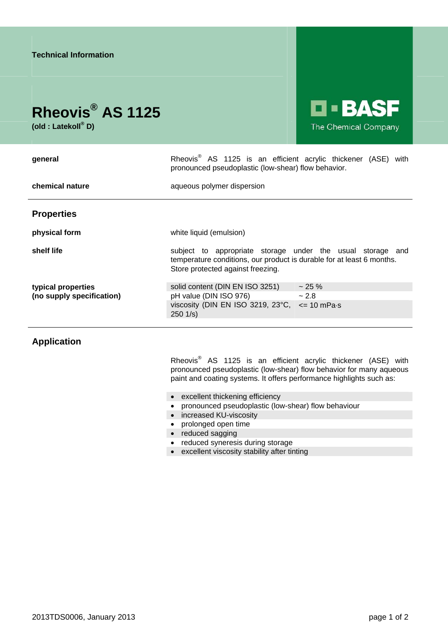

**(old : Latekoll® D)** 

**le Basf** The Chemical Company

| general                                         | Rheovis <sup>®</sup> AS 1125 is an efficient acrylic thickener (ASE) with<br>pronounced pseudoplastic (low-shear) flow behavior.                                         |             |
|-------------------------------------------------|--------------------------------------------------------------------------------------------------------------------------------------------------------------------------|-------------|
| chemical nature                                 | aqueous polymer dispersion                                                                                                                                               |             |
| <b>Properties</b>                               |                                                                                                                                                                          |             |
| physical form                                   | white liquid (emulsion)                                                                                                                                                  |             |
| shelf life                                      | subject to appropriate storage under the usual storage and<br>temperature conditions, our product is durable for at least 6 months.<br>Store protected against freezing. |             |
| typical properties<br>(no supply specification) | solid content (DIN EN ISO 3251)<br>$\sim 2.8$<br>pH value (DIN ISO 976)<br>viscosity (DIN EN ISO 3219, 23 $^{\circ}$ C, $\leq$ 10 mPa $\cdot$ s<br>$250 \frac{1}{s}$     | $\sim$ 25 % |

## **Application**

Rheovis<sup>®</sup> AS 1125 is an efficient acrylic thickener (ASE) with pronounced pseudoplastic (low-shear) flow behavior for many aqueous paint and coating systems. It offers performance highlights such as:

- excellent thickening efficiency
- pronounced pseudoplastic (low-shear) flow behaviour
- increased KU-viscosity
- prolonged open time
- reduced sagging
- reduced syneresis during storage
- excellent viscosity stability after tinting